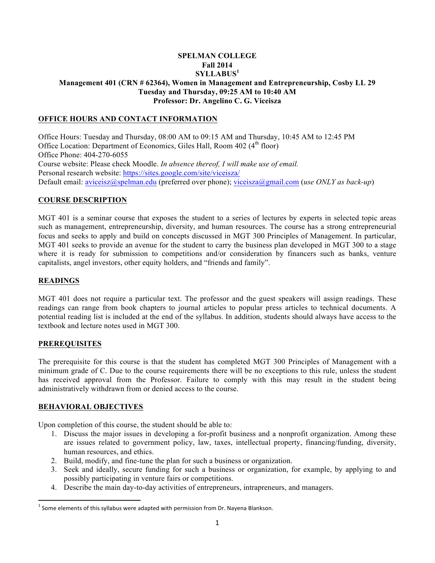### **SPELMAN COLLEGE Fall 2014 SYLLABUS<sup>1</sup> Management 401 (CRN # 62364), Women in Management and Entrepreneurship, Cosby LL 29 Tuesday and Thursday, 09:25 AM to 10:40 AM Professor: Dr. Angelino C. G. Viceisza**

## **OFFICE HOURS AND CONTACT INFORMATION**

Office Hours: Tuesday and Thursday, 08:00 AM to 09:15 AM and Thursday, 10:45 AM to 12:45 PM Office Location: Department of Economics, Giles Hall, Room  $402 \, (4^{\text{th}} \, \text{floor})$ Office Phone: 404-270-6055 Course website: Please check Moodle. *In absence thereof, I will make use of email.*  Personal research website: https://sites.google.com/site/viceisza/ Default email: aviceisz@spelman.edu (preferred over phone); viceisza@gmail.com (*use ONLY as back-up*)

#### **COURSE DESCRIPTION**

MGT 401 is a seminar course that exposes the student to a series of lectures by experts in selected topic areas such as management, entrepreneurship, diversity, and human resources. The course has a strong entrepreneurial focus and seeks to apply and build on concepts discussed in MGT 300 Principles of Management. In particular, MGT 401 seeks to provide an avenue for the student to carry the business plan developed in MGT 300 to a stage where it is ready for submission to competitions and/or consideration by financers such as banks, venture capitalists, angel investors, other equity holders, and "friends and family".

#### **READINGS**

MGT 401 does not require a particular text. The professor and the guest speakers will assign readings. These readings can range from book chapters to journal articles to popular press articles to technical documents. A potential reading list is included at the end of the syllabus. In addition, students should always have access to the textbook and lecture notes used in MGT 300.

#### **PREREQUISITES**

The prerequisite for this course is that the student has completed MGT 300 Principles of Management with a minimum grade of C. Due to the course requirements there will be no exceptions to this rule, unless the student has received approval from the Professor. Failure to comply with this may result in the student being administratively withdrawn from or denied access to the course.

### **BEHAVIORAL OBJECTIVES**

Upon completion of this course, the student should be able to:

- 1. Discuss the major issues in developing a for-profit business and a nonprofit organization. Among these are issues related to government policy, law, taxes, intellectual property, financing/funding, diversity, human resources, and ethics.
- 2. Build, modify, and fine-tune the plan for such a business or organization.
- 3. Seek and ideally, secure funding for such a business or organization, for example, by applying to and possibly participating in venture fairs or competitions.
- 4. Describe the main day-to-day activities of entrepreneurs, intrapreneurs, and managers.

 $1$  Some elements of this syllabus were adapted with permission from Dr. Nayena Blankson.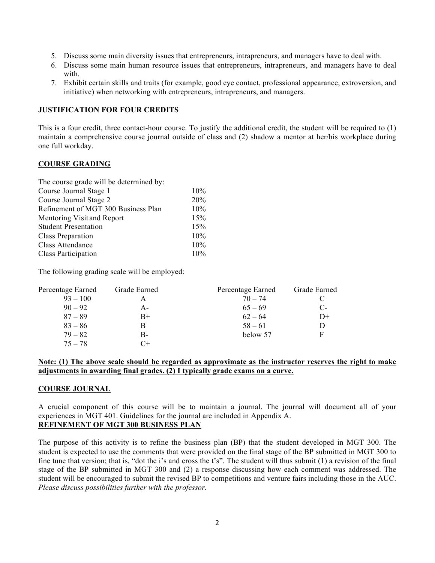- 5. Discuss some main diversity issues that entrepreneurs, intrapreneurs, and managers have to deal with.
- 6. Discuss some main human resource issues that entrepreneurs, intrapreneurs, and managers have to deal with
- 7. Exhibit certain skills and traits (for example, good eye contact, professional appearance, extroversion, and initiative) when networking with entrepreneurs, intrapreneurs, and managers.

### **JUSTIFICATION FOR FOUR CREDITS**

This is a four credit, three contact-hour course. To justify the additional credit, the student will be required to (1) maintain a comprehensive course journal outside of class and (2) shadow a mentor at her/his workplace during one full workday.

### **COURSE GRADING**

The course grade will be determined by:

| Course Journal Stage 1              | 10% |
|-------------------------------------|-----|
| Course Journal Stage 2              | 20% |
| Refinement of MGT 300 Business Plan | 10% |
| Mentoring Visit and Report          | 15% |
| <b>Student Presentation</b>         | 15% |
| Class Preparation                   | 10% |
| Class Attendance                    | 10% |
| Class Participation                 | 10% |
|                                     |     |

The following grading scale will be employed:

| Percentage Earned | Grade Earned | Percentage Earned | Grade Earned |
|-------------------|--------------|-------------------|--------------|
| $93 - 100$        | А            | $70 - 74$         |              |
| $90 - 92$         | $A -$        | $65 - 69$         | $C$ -        |
| $87 - 89$         | $B+$         | $62 - 64$         | D+           |
| $83 - 86$         | В            | $58 - 61$         |              |
| $79 - 82$         | В-           | below 57          | F            |
| $75 - 78$         | ∩+           |                   |              |

#### **Note: (1) The above scale should be regarded as approximate as the instructor reserves the right to make adjustments in awarding final grades. (2) I typically grade exams on a curve.**

### **COURSE JOURNAL**

A crucial component of this course will be to maintain a journal. The journal will document all of your experiences in MGT 401. Guidelines for the journal are included in Appendix A. **REFINEMENT OF MGT 300 BUSINESS PLAN**

The purpose of this activity is to refine the business plan (BP) that the student developed in MGT 300. The student is expected to use the comments that were provided on the final stage of the BP submitted in MGT 300 to fine tune that version; that is, "dot the i's and cross the t's". The student will thus submit (1) a revision of the final stage of the BP submitted in MGT 300 and (2) a response discussing how each comment was addressed. The student will be encouraged to submit the revised BP to competitions and venture fairs including those in the AUC. *Please discuss possibilities further with the professor.*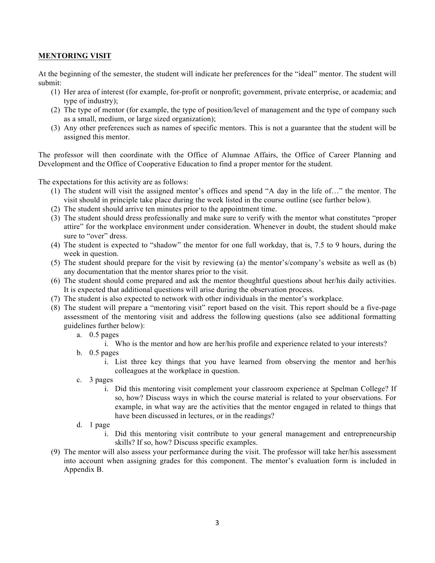### **MENTORING VISIT**

At the beginning of the semester, the student will indicate her preferences for the "ideal" mentor. The student will submit:

- (1) Her area of interest (for example, for-profit or nonprofit; government, private enterprise, or academia; and type of industry);
- (2) The type of mentor (for example, the type of position/level of management and the type of company such as a small, medium, or large sized organization);
- (3) Any other preferences such as names of specific mentors. This is not a guarantee that the student will be assigned this mentor.

The professor will then coordinate with the Office of Alumnae Affairs, the Office of Career Planning and Development and the Office of Cooperative Education to find a proper mentor for the student.

The expectations for this activity are as follows:

- (1) The student will visit the assigned mentor's offices and spend "A day in the life of…" the mentor. The visit should in principle take place during the week listed in the course outline (see further below).
- (2) The student should arrive ten minutes prior to the appointment time.
- (3) The student should dress professionally and make sure to verify with the mentor what constitutes "proper attire" for the workplace environment under consideration. Whenever in doubt, the student should make sure to "over" dress.
- (4) The student is expected to "shadow" the mentor for one full workday, that is, 7.5 to 9 hours, during the week in question.
- (5) The student should prepare for the visit by reviewing (a) the mentor's/company's website as well as (b) any documentation that the mentor shares prior to the visit.
- (6) The student should come prepared and ask the mentor thoughtful questions about her/his daily activities. It is expected that additional questions will arise during the observation process.
- (7) The student is also expected to network with other individuals in the mentor's workplace.
- (8) The student will prepare a "mentoring visit" report based on the visit. This report should be a five-page assessment of the mentoring visit and address the following questions (also see additional formatting guidelines further below):
	- a. 0.5 pages
		- i. Who is the mentor and how are her/his profile and experience related to your interests?
	- b. 0.5 pages
		- i. List three key things that you have learned from observing the mentor and her/his colleagues at the workplace in question.
	- c. 3 pages
		- i. Did this mentoring visit complement your classroom experience at Spelman College? If so, how? Discuss ways in which the course material is related to your observations. For example, in what way are the activities that the mentor engaged in related to things that have been discussed in lectures, or in the readings?
	- d. 1 page
		- i. Did this mentoring visit contribute to your general management and entrepreneurship skills? If so, how? Discuss specific examples.
- (9) The mentor will also assess your performance during the visit. The professor will take her/his assessment into account when assigning grades for this component. The mentor's evaluation form is included in Appendix B.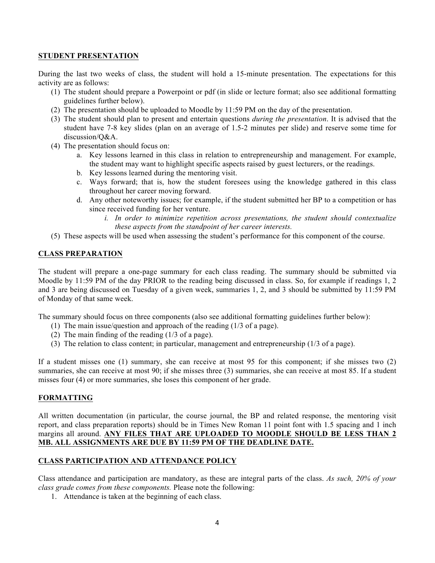#### **STUDENT PRESENTATION**

During the last two weeks of class, the student will hold a 15-minute presentation. The expectations for this activity are as follows:

- (1) The student should prepare a Powerpoint or pdf (in slide or lecture format; also see additional formatting guidelines further below).
- (2) The presentation should be uploaded to Moodle by 11:59 PM on the day of the presentation.
- (3) The student should plan to present and entertain questions *during the presentation*. It is advised that the student have 7-8 key slides (plan on an average of 1.5-2 minutes per slide) and reserve some time for discussion/Q&A.
- (4) The presentation should focus on:
	- a. Key lessons learned in this class in relation to entrepreneurship and management. For example, the student may want to highlight specific aspects raised by guest lecturers, or the readings.
	- b. Key lessons learned during the mentoring visit.
	- c. Ways forward; that is, how the student foresees using the knowledge gathered in this class throughout her career moving forward.
	- d. Any other noteworthy issues; for example, if the student submitted her BP to a competition or has since received funding for her venture.
		- *i. In order to minimize repetition across presentations, the student should contextualize these aspects from the standpoint of her career interests.*
- (5) These aspects will be used when assessing the student's performance for this component of the course.

### **CLASS PREPARATION**

The student will prepare a one-page summary for each class reading. The summary should be submitted via Moodle by 11:59 PM of the day PRIOR to the reading being discussed in class. So, for example if readings 1, 2 and 3 are being discussed on Tuesday of a given week, summaries 1, 2, and 3 should be submitted by 11:59 PM of Monday of that same week.

The summary should focus on three components (also see additional formatting guidelines further below):

- (1) The main issue/question and approach of the reading (1/3 of a page).
- (2) The main finding of the reading (1/3 of a page).
- (3) The relation to class content; in particular, management and entrepreneurship (1/3 of a page).

If a student misses one (1) summary, she can receive at most 95 for this component; if she misses two (2) summaries, she can receive at most 90; if she misses three (3) summaries, she can receive at most 85. If a student misses four (4) or more summaries, she loses this component of her grade.

### **FORMATTING**

All written documentation (in particular, the course journal, the BP and related response, the mentoring visit report, and class preparation reports) should be in Times New Roman 11 point font with 1.5 spacing and 1 inch margins all around. **ANY FILES THAT ARE UPLOADED TO MOODLE SHOULD BE LESS THAN 2 MB. ALL ASSIGNMENTS ARE DUE BY 11:59 PM OF THE DEADLINE DATE.**

### **CLASS PARTICIPATION AND ATTENDANCE POLICY**

Class attendance and participation are mandatory, as these are integral parts of the class. *As such, 20% of your class grade comes from these components.* Please note the following:

1. Attendance is taken at the beginning of each class.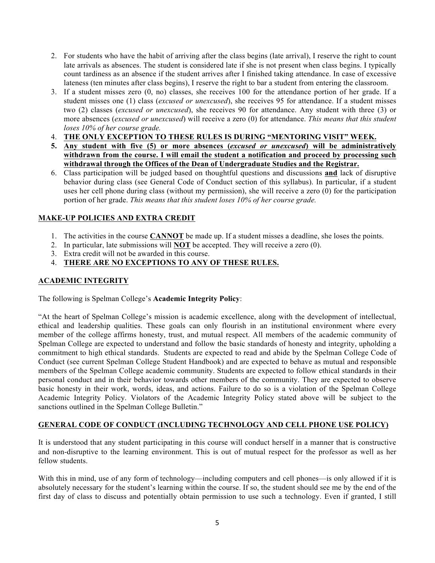- 2. For students who have the habit of arriving after the class begins (late arrival), I reserve the right to count late arrivals as absences. The student is considered late if she is not present when class begins. I typically count tardiness as an absence if the student arrives after I finished taking attendance. In case of excessive lateness (ten minutes after class begins), I reserve the right to bar a student from entering the classroom.
- 3. If a student misses zero (0, no) classes, she receives 100 for the attendance portion of her grade. If a student misses one (1) class (*excused or unexcused*), she receives 95 for attendance. If a student misses two (2) classes (*excused or unexcused*), she receives 90 for attendance. Any student with three (3) or more absences (*excused or unexcused*) will receive a zero (0) for attendance. *This means that this student loses 10% of her course grade.*
- 4. **THE ONLY EXCEPTION TO THESE RULES IS DURING "MENTORING VISIT" WEEK.**
- **5. Any student with five (5) or more absences (***excused or unexcused***) will be administratively withdrawn from the course. I will email the student a notification and proceed by processing such withdrawal through the Offices of the Dean of Undergraduate Studies and the Registrar.**
- 6. Class participation will be judged based on thoughtful questions and discussions **and** lack of disruptive behavior during class (see General Code of Conduct section of this syllabus). In particular, if a student uses her cell phone during class (without my permission), she will receive a zero (0) for the participation portion of her grade. *This means that this student loses 10% of her course grade.*

## **MAKE-UP POLICIES AND EXTRA CREDIT**

- 1. The activities in the course **CANNOT** be made up. If a student misses a deadline, she loses the points.
- 2. In particular, late submissions will **NOT** be accepted. They will receive a zero (0).
- 3. Extra credit will not be awarded in this course.

## 4. **THERE ARE NO EXCEPTIONS TO ANY OF THESE RULES.**

### **ACADEMIC INTEGRITY**

The following is Spelman College's **Academic Integrity Policy**:

"At the heart of Spelman College's mission is academic excellence, along with the development of intellectual, ethical and leadership qualities. These goals can only flourish in an institutional environment where every member of the college affirms honesty, trust, and mutual respect. All members of the academic community of Spelman College are expected to understand and follow the basic standards of honesty and integrity, upholding a commitment to high ethical standards. Students are expected to read and abide by the Spelman College Code of Conduct (see current Spelman College Student Handbook) and are expected to behave as mutual and responsible members of the Spelman College academic community. Students are expected to follow ethical standards in their personal conduct and in their behavior towards other members of the community. They are expected to observe basic honesty in their work, words, ideas, and actions. Failure to do so is a violation of the Spelman College Academic Integrity Policy. Violators of the Academic Integrity Policy stated above will be subject to the sanctions outlined in the Spelman College Bulletin."

## **GENERAL CODE OF CONDUCT (INCLUDING TECHNOLOGY AND CELL PHONE USE POLICY)**

It is understood that any student participating in this course will conduct herself in a manner that is constructive and non-disruptive to the learning environment. This is out of mutual respect for the professor as well as her fellow students.

With this in mind, use of any form of technology—including computers and cell phones—is only allowed if it is absolutely necessary for the student's learning within the course. If so, the student should see me by the end of the first day of class to discuss and potentially obtain permission to use such a technology. Even if granted, I still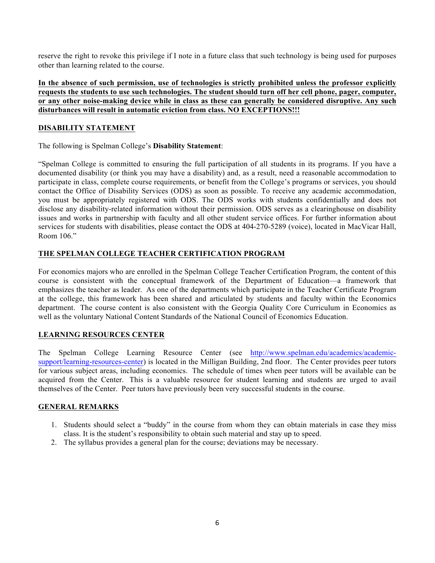reserve the right to revoke this privilege if I note in a future class that such technology is being used for purposes other than learning related to the course.

**In the absence of such permission, use of technologies is strictly prohibited unless the professor explicitly requests the students to use such technologies. The student should turn off her cell phone, pager, computer, or any other noise-making device while in class as these can generally be considered disruptive. Any such disturbances will result in automatic eviction from class. NO EXCEPTIONS!!!**

### **DISABILITY STATEMENT**

The following is Spelman College's **Disability Statement**:

"Spelman College is committed to ensuring the full participation of all students in its programs. If you have a documented disability (or think you may have a disability) and, as a result, need a reasonable accommodation to participate in class, complete course requirements, or benefit from the College's programs or services, you should contact the Office of Disability Services (ODS) as soon as possible. To receive any academic accommodation, you must be appropriately registered with ODS. The ODS works with students confidentially and does not disclose any disability-related information without their permission. ODS serves as a clearinghouse on disability issues and works in partnership with faculty and all other student service offices. For further information about services for students with disabilities, please contact the ODS at 404-270-5289 (voice), located in MacVicar Hall, Room 106."

# **THE SPELMAN COLLEGE TEACHER CERTIFICATION PROGRAM**

For economics majors who are enrolled in the Spelman College Teacher Certification Program, the content of this course is consistent with the conceptual framework of the Department of Education—a framework that emphasizes the teacher as leader. As one of the departments which participate in the Teacher Certificate Program at the college, this framework has been shared and articulated by students and faculty within the Economics department. The course content is also consistent with the Georgia Quality Core Curriculum in Economics as well as the voluntary National Content Standards of the National Council of Economics Education.

## **LEARNING RESOURCES CENTER**

The Spelman College Learning Resource Center (see http://www.spelman.edu/academics/academicsupport/learning-resources-center) is located in the Milligan Building, 2nd floor. The Center provides peer tutors for various subject areas, including economics. The schedule of times when peer tutors will be available can be acquired from the Center. This is a valuable resource for student learning and students are urged to avail themselves of the Center. Peer tutors have previously been very successful students in the course.

## **GENERAL REMARKS**

- 1. Students should select a "buddy" in the course from whom they can obtain materials in case they miss class. It is the student's responsibility to obtain such material and stay up to speed.
- 2. The syllabus provides a general plan for the course; deviations may be necessary.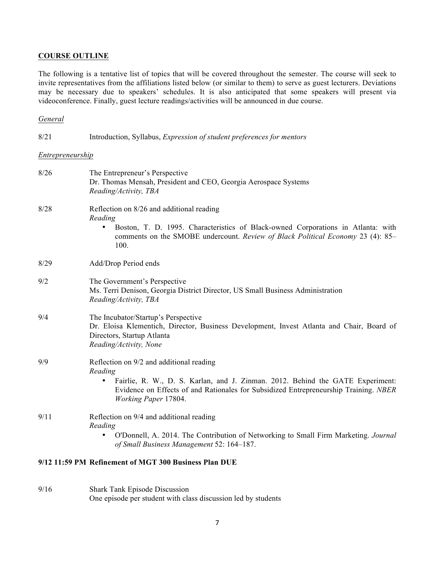#### **COURSE OUTLINE**

The following is a tentative list of topics that will be covered throughout the semester. The course will seek to invite representatives from the affiliations listed below (or similar to them) to serve as guest lecturers. Deviations may be necessary due to speakers' schedules. It is also anticipated that some speakers will present via videoconference. Finally, guest lecture readings/activities will be announced in due course.

#### *General*

| 8/21             | Introduction, Syllabus, Expression of student preferences for mentors                                                                                                                                                                                      |
|------------------|------------------------------------------------------------------------------------------------------------------------------------------------------------------------------------------------------------------------------------------------------------|
| Entrepreneurship |                                                                                                                                                                                                                                                            |
| 8/26             | The Entrepreneur's Perspective<br>Dr. Thomas Mensah, President and CEO, Georgia Aerospace Systems<br>Reading/Activity, TBA                                                                                                                                 |
| 8/28             | Reflection on 8/26 and additional reading<br>Reading<br>Boston, T. D. 1995. Characteristics of Black-owned Corporations in Atlanta: with<br>$\bullet$<br>comments on the SMOBE undercount. Review of Black Political Economy 23 (4): 85–<br>100.           |
| 8/29             | Add/Drop Period ends                                                                                                                                                                                                                                       |
| 9/2              | The Government's Perspective<br>Ms. Terri Denison, Georgia District Director, US Small Business Administration<br>Reading/Activity, TBA                                                                                                                    |
| 9/4              | The Incubator/Startup's Perspective<br>Dr. Eloisa Klementich, Director, Business Development, Invest Atlanta and Chair, Board of<br>Directors, Startup Atlanta<br>Reading/Activity, None                                                                   |
| 9/9              | Reflection on 9/2 and additional reading<br>Reading<br>Fairlie, R. W., D. S. Karlan, and J. Zinman. 2012. Behind the GATE Experiment:<br>٠<br>Evidence on Effects of and Rationales for Subsidized Entrepreneurship Training. NBER<br>Working Paper 17804. |
| 9/11             | Reflection on 9/4 and additional reading<br>Reading<br>O'Donnell, A. 2014. The Contribution of Networking to Small Firm Marketing. Journal<br>$\bullet$<br>of Small Business Management 52: 164-187.                                                       |
|                  | 9/12 11:59 PM Refinement of MGT 300 Business Plan DUE                                                                                                                                                                                                      |
|                  |                                                                                                                                                                                                                                                            |

9/16 Shark Tank Episode Discussion One episode per student with class discussion led by students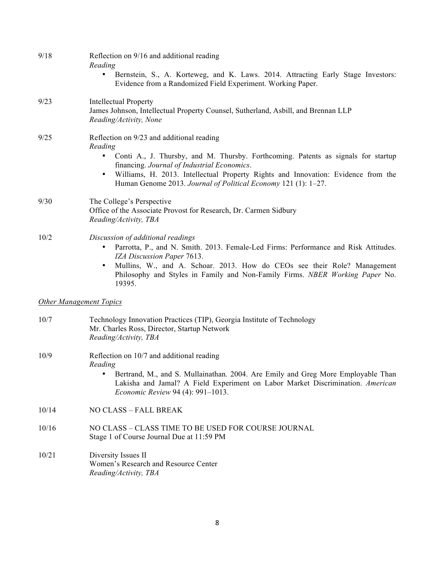| 9/18  | Reflection on 9/16 and additional reading<br>Reading<br>Bernstein, S., A. Korteweg, and K. Laws. 2014. Attracting Early Stage Investors:<br>Evidence from a Randomized Field Experiment. Working Paper.                                                                                                                                                      |  |  |
|-------|--------------------------------------------------------------------------------------------------------------------------------------------------------------------------------------------------------------------------------------------------------------------------------------------------------------------------------------------------------------|--|--|
| 9/23  | <b>Intellectual Property</b><br>James Johnson, Intellectual Property Counsel, Sutherland, Asbill, and Brennan LLP<br>Reading/Activity, None                                                                                                                                                                                                                  |  |  |
| 9/25  | Reflection on 9/23 and additional reading<br>Reading<br>Conti A., J. Thursby, and M. Thursby. Forthcoming. Patents as signals for startup<br>financing. Journal of Industrial Economics.<br>Williams, H. 2013. Intellectual Property Rights and Innovation: Evidence from the<br>$\bullet$<br>Human Genome 2013. Journal of Political Economy 121 (1): 1-27. |  |  |
| 9/30  | The College's Perspective<br>Office of the Associate Provost for Research, Dr. Carmen Sidbury<br>Reading/Activity, TBA                                                                                                                                                                                                                                       |  |  |
| 10/2  | Discussion of additional readings<br>Parrotta, P., and N. Smith. 2013. Female-Led Firms: Performance and Risk Attitudes.<br>$\bullet$<br>IZA Discussion Paper 7613.<br>Mullins, W., and A. Schoar. 2013. How do CEOs see their Role? Management<br>$\bullet$<br>Philosophy and Styles in Family and Non-Family Firms. NBER Working Paper No.<br>19395.       |  |  |
|       | <b>Other Management Topics</b>                                                                                                                                                                                                                                                                                                                               |  |  |
| 10/7  | Technology Innovation Practices (TIP), Georgia Institute of Technology<br>Mr. Charles Ross, Director, Startup Network<br>Reading/Activity, TBA                                                                                                                                                                                                               |  |  |
| 10/9  | Reflection on 10/7 and additional reading<br>Reading<br>Bertrand, M., and S. Mullainathan. 2004. Are Emily and Greg More Employable Than<br>Lakisha and Jamal? A Field Experiment on Labor Market Discrimination. American<br>Economic Review 94 (4): 991-1013.                                                                                              |  |  |
| 10/14 | <b>NO CLASS - FALL BREAK</b>                                                                                                                                                                                                                                                                                                                                 |  |  |
| 10/16 | NO CLASS - CLASS TIME TO BE USED FOR COURSE JOURNAL<br>Stage 1 of Course Journal Due at 11:59 PM                                                                                                                                                                                                                                                             |  |  |
| 10/21 | Diversity Issues II<br>Women's Research and Resource Center<br>Reading/Activity, TBA                                                                                                                                                                                                                                                                         |  |  |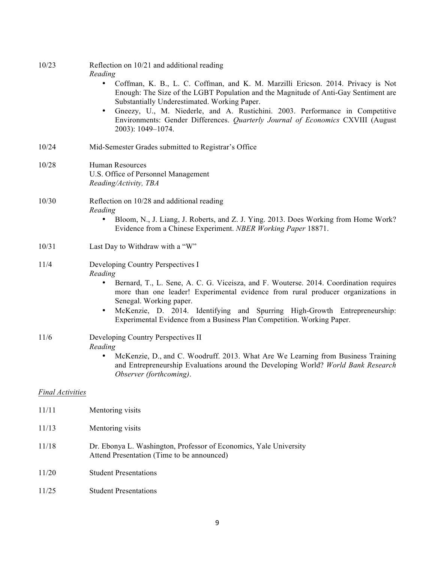| 10/23                   | Reflection on 10/21 and additional reading<br>Reading<br>Coffman, K. B., L. C. Coffman, and K. M. Marzilli Ericson. 2014. Privacy is Not<br>Enough: The Size of the LGBT Population and the Magnitude of Anti-Gay Sentiment are<br>Substantially Underestimated. Working Paper.<br>Gneezy, U., M. Niederle, and A. Rustichini. 2003. Performance in Competitive<br>$\bullet$<br>Environments: Gender Differences. Quarterly Journal of Economics CXVIII (August<br>2003): 1049-1074. |
|-------------------------|--------------------------------------------------------------------------------------------------------------------------------------------------------------------------------------------------------------------------------------------------------------------------------------------------------------------------------------------------------------------------------------------------------------------------------------------------------------------------------------|
| 10/24                   | Mid-Semester Grades submitted to Registrar's Office                                                                                                                                                                                                                                                                                                                                                                                                                                  |
| 10/28                   | Human Resources<br>U.S. Office of Personnel Management<br>Reading/Activity, TBA                                                                                                                                                                                                                                                                                                                                                                                                      |
| 10/30                   | Reflection on 10/28 and additional reading<br>Reading<br>Bloom, N., J. Liang, J. Roberts, and Z. J. Ying. 2013. Does Working from Home Work?<br>Evidence from a Chinese Experiment. NBER Working Paper 18871.                                                                                                                                                                                                                                                                        |
| 10/31                   | Last Day to Withdraw with a "W"                                                                                                                                                                                                                                                                                                                                                                                                                                                      |
| 11/4                    | Developing Country Perspectives I<br>Reading<br>Bernard, T., L. Sene, A. C. G. Viceisza, and F. Wouterse. 2014. Coordination requires<br>more than one leader! Experimental evidence from rural producer organizations in<br>Senegal. Working paper.<br>McKenzie, D. 2014. Identifying and Spurring High-Growth Entrepreneurship:<br>$\bullet$<br>Experimental Evidence from a Business Plan Competition. Working Paper.                                                             |
| 11/6                    | Developing Country Perspectives II<br>Reading<br>McKenzie, D., and C. Woodruff. 2013. What Are We Learning from Business Training<br>and Entrepreneurship Evaluations around the Developing World? World Bank Research<br>Observer (forthcoming).                                                                                                                                                                                                                                    |
| <b>Final Activities</b> |                                                                                                                                                                                                                                                                                                                                                                                                                                                                                      |
| 11/11                   | Mentoring visits                                                                                                                                                                                                                                                                                                                                                                                                                                                                     |
| 11/13                   | Mentoring visits                                                                                                                                                                                                                                                                                                                                                                                                                                                                     |
| 11/18                   | Dr. Ebonya L. Washington, Professor of Economics, Yale University<br>Attend Presentation (Time to be announced)                                                                                                                                                                                                                                                                                                                                                                      |
| 11/20                   | <b>Student Presentations</b>                                                                                                                                                                                                                                                                                                                                                                                                                                                         |
| 11/25                   | <b>Student Presentations</b>                                                                                                                                                                                                                                                                                                                                                                                                                                                         |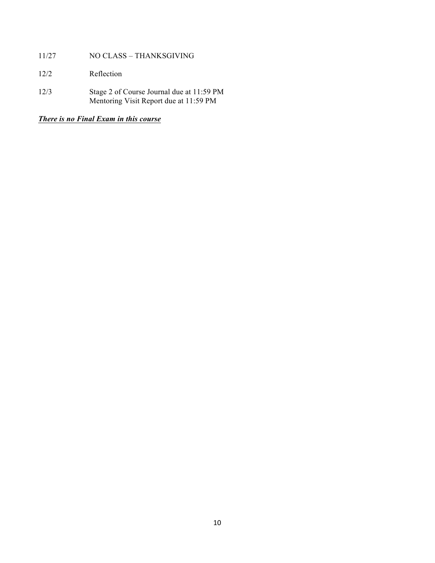- 11/27 NO CLASS THANKSGIVING
- 12/2 Reflection
- 12/3 Stage 2 of Course Journal due at 11:59 PM Mentoring Visit Report due at 11:59 PM

*There is no Final Exam in this course*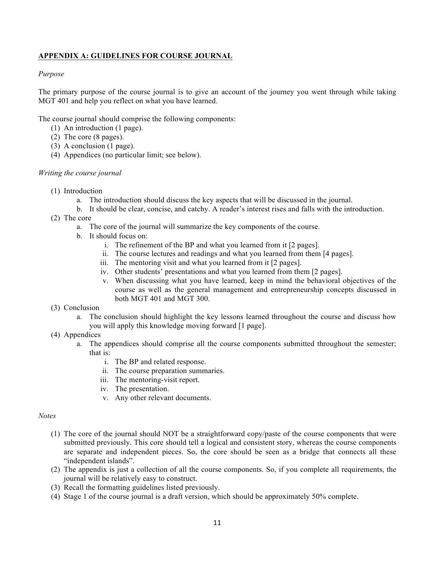# **APPENDIX A: GUIDELINES FOR COURSE JOURNAL**

### *Purpose*

The primary purpose of the course journal is to give an account of the journey you went through while taking MGT 401 and help you reflect on what you have learned.

The course journal should comprise the following components:

- (1) An introduction (1 page).
- (2) The core (8 pages).
- (3) A conclusion (1 page).
- (4) Appendices (no particular limit; see below).

#### *Writing the course journal*

- (1) Introduction
	- a. The introduction should discuss the key aspects that will be discussed in the journal.
	- b. It should be clear, concise, and catchy. A reader's interest rises and falls with the introduction.
- (2) The core
	- a. The core of the journal will summarize the key components of the course.
	- b. It should focus on:
		- i. The refinement of the BP and what you learned from it [2 pages].
		- ii. The course lectures and readings and what you learned from them [4 pages].
		- iii. The mentoring visit and what you learned from it [2 pages].
		- iv. Other students' presentations and what you learned from them [2 pages].
		- v. When discussing what you have learned, keep in mind the behavioral objectives of the course as well as the general management and entrepreneurship concepts discussed in both MGT 401 and MGT 300.
- (3) Conclusion
	- a. The conclusion should highlight the key lessons learned throughout the course and discuss how you will apply this knowledge moving forward [1 page].
- (4) Appendices
	- a. The appendices should comprise all the course components submitted throughout the semester; that is:
		- i. The BP and related response.
		- ii. The course preparation summaries.
		- iii. The mentoring-visit report.
		- iv. The presentation.
		- v. Any other relevant documents.

### *Notes*

- (1) The core of the journal should NOT be a straightforward copy/paste of the course components that were submitted previously. This core should tell a logical and consistent story, whereas the course components are separate and independent pieces. So, the core should be seen as a bridge that connects all these "independent islands".
- (2) The appendix is just a collection of all the course components. So, if you complete all requirements, the journal will be relatively easy to construct.
- (3) Recall the formatting guidelines listed previously.
- (4) Stage 1 of the course journal is a draft version, which should be approximately 50% complete.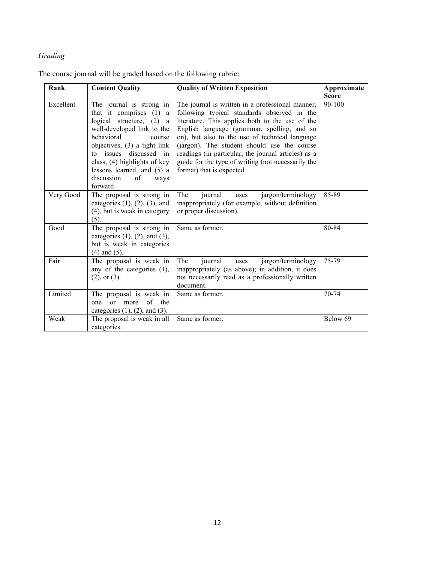# *Grading*

The course journal will be graded based on the following rubric:

| Rank<br><b>Content Quality</b> |                                                                                                                                                                                                                                                                                                                | <b>Quality of Written Exposition</b>                                                                                                                                                                                                                                                                                                                                                                                                         | Approximate  |
|--------------------------------|----------------------------------------------------------------------------------------------------------------------------------------------------------------------------------------------------------------------------------------------------------------------------------------------------------------|----------------------------------------------------------------------------------------------------------------------------------------------------------------------------------------------------------------------------------------------------------------------------------------------------------------------------------------------------------------------------------------------------------------------------------------------|--------------|
|                                |                                                                                                                                                                                                                                                                                                                |                                                                                                                                                                                                                                                                                                                                                                                                                                              | <b>Score</b> |
| Excellent                      | The journal is strong in<br>that it comprises<br>(1)<br>a<br>logical structure, (2)<br>a<br>well-developed link to the<br>behavioral<br>course<br>objectives, (3) a tight link<br>to issues discussed in<br>class, (4) highlights of key<br>lessons learned, and (5) a<br>discussion<br>of<br>ways<br>forward. | The journal is written in a professional manner,<br>following typical standards observed in the<br>literature. This applies both to the use of the<br>English language (grammar, spelling, and so<br>on), but also to the use of technical language<br>(jargon). The student should use the course<br>readings (in particular, the journal articles) as a<br>guide for the type of writing (not necessarily the<br>format) that is expected. | 90-100       |
| Very Good                      | The proposal is strong in<br>categories $(1)$ , $(2)$ , $(3)$ , and<br>(4), but is weak in category<br>$(5)$ .                                                                                                                                                                                                 | The<br>jargon/terminology<br>journal<br>uses<br>inappropriately (for example, without definition<br>or proper discussion).                                                                                                                                                                                                                                                                                                                   | 85-89        |
| Good                           | The proposal is strong in<br>categories $(1)$ , $(2)$ , and $(3)$ ,<br>but is weak in categories<br>$(4)$ and $(5)$ .                                                                                                                                                                                          | Same as former.                                                                                                                                                                                                                                                                                                                                                                                                                              | 80-84        |
| Fair                           | The proposal is weak in<br>any of the categories $(1)$ ,<br>$(2)$ , or $(3)$ .                                                                                                                                                                                                                                 | The<br>jargon/terminology<br>journal<br>uses<br>inappropriately (as above); in addition, it does<br>not necessarily read as a professionally written<br>document.                                                                                                                                                                                                                                                                            | 75-79        |
| Limited                        | The proposal is weak in<br>$\sigma$ f<br>the<br>$\alpha$ r<br>more<br>one<br>categories $(1)$ , $(2)$ , and $(3)$ .                                                                                                                                                                                            | Same as former.                                                                                                                                                                                                                                                                                                                                                                                                                              | 70-74        |
| Weak                           | The proposal is weak in all<br>categories.                                                                                                                                                                                                                                                                     | Same as former.                                                                                                                                                                                                                                                                                                                                                                                                                              | Below 69     |